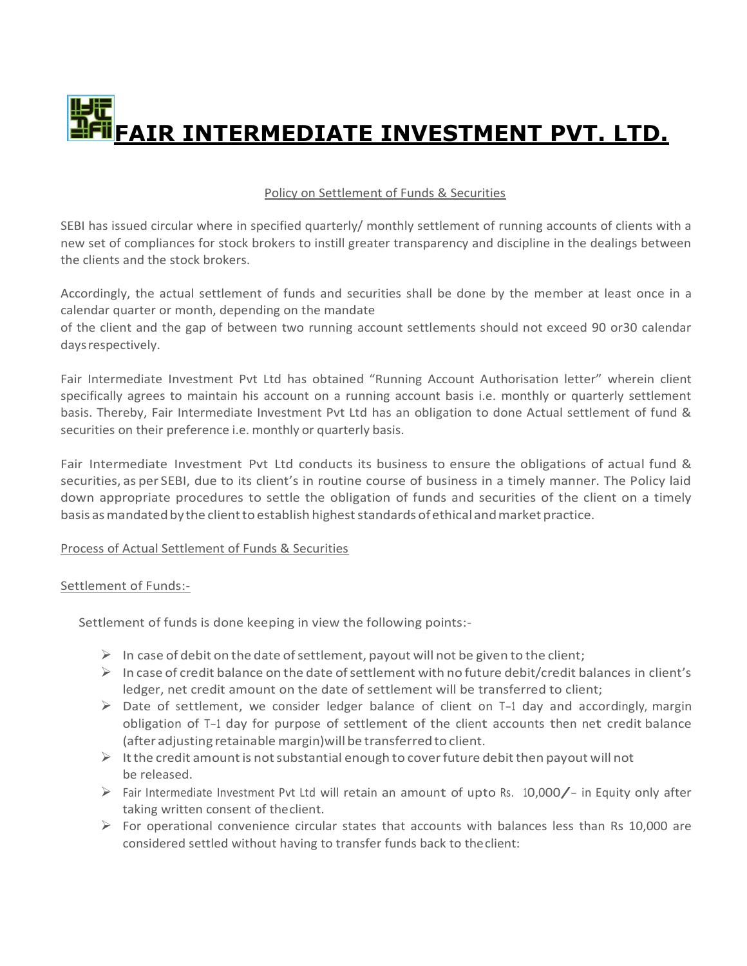

## Policy on Settlement of Funds & Securities

SEBI has issued circular where in specified quarterly/ monthly settlement of running accounts of clients with a new set of compliances for stock brokers to instill greater transparency and discipline in the dealings between the clients and the stock brokers.

Accordingly, the actual settlement of funds and securities shall be done by the member at least once in a calendar quarter or month, depending on the mandate

of the client and the gap of between two running account settlements should not exceed 90 or30 calendar daysrespectively.

Fair Intermediate Investment Pvt Ltd has obtained "Running Account Authorisation letter" wherein client specifically agrees to maintain his account on a running account basis i.e. monthly or quarterly settlement basis. Thereby, Fair Intermediate Investment Pvt Ltd has an obligation to done Actual settlement of fund & securities on their preference i.e. monthly or quarterly basis.

Fair Intermediate Investment Pvt Ltd conducts its business to ensure the obligations of actual fund & securities, as per SEBI, due to its client's in routine course of business in a timely manner. The Policy laid down appropriate procedures to settle the obligation of funds and securities of the client on a timely basis as mandated by the client to establish highest standards of ethical and market practice.

## Process of Actual Settlement of Funds & Securities

## Settlement of Funds:-

Settlement of funds is done keeping in view the following points:-

- In case of debit on the date of settlement, payout will not be given to the client;
- In case of credit balance on the date of settlement with no future debit/credit balances in client's ledger, net credit amount on the date of settlement will be transferred to client;
- $\triangleright$  Date of settlement, we consider ledger balance of client on T-1 day and accordingly, margin obligation of T-1 day for purpose of settlement of the client accounts then net credit balance (after adjusting retainable margin) will be transferred to client.
- $\triangleright$  It the credit amount is not substantial enough to cover future debit then payout will not be released.
- Fair Intermediate Investment Pvt Ltd will retain an amount of upto Rs. 10,000/- in Equity only after taking written consent of theclient.
- $\triangleright$  For operational convenience circular states that accounts with balances less than Rs 10,000 are considered settled without having to transfer funds back to theclient: